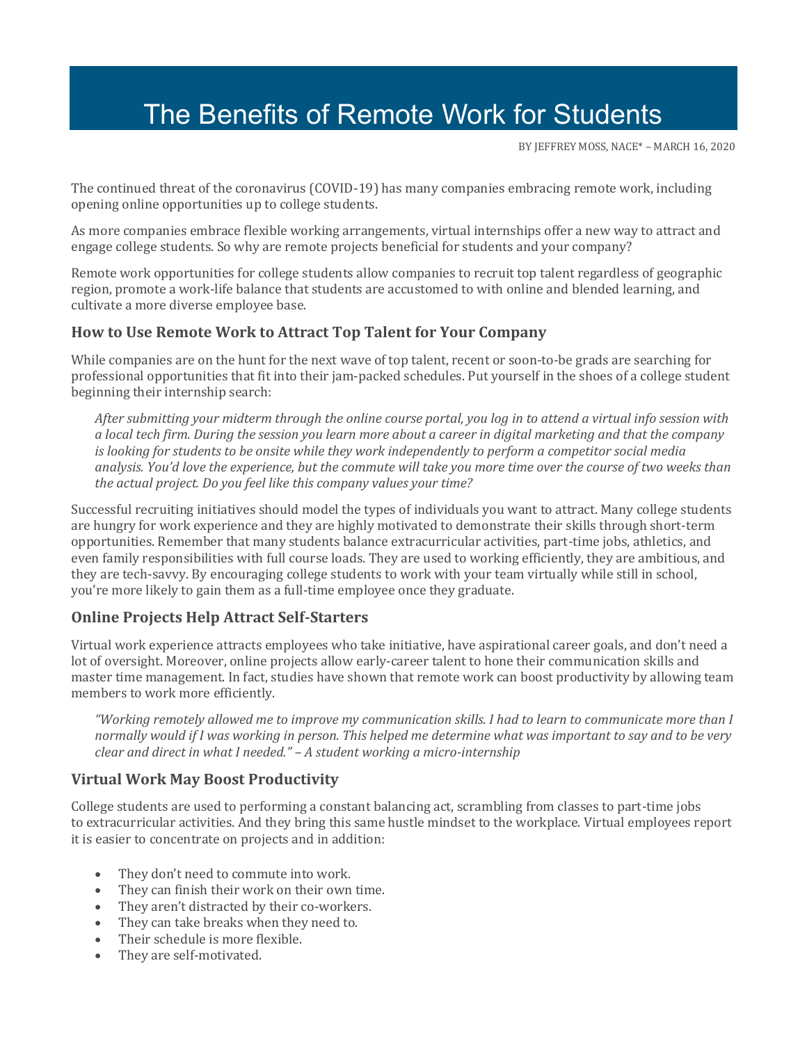# The Benefits of Remote Work for Students

B[Y JEFFREY MOSS,](https://community.naceweb.org/people/jeffrey-moss) NACE\* – MARCH 16, 2020

The continued threat of the coronavirus (COVID-19) has many companies embracing remote work, including opening online opportunities up to college students.

As more companies embrace flexible working arrangements, virtual internships offer a new way to attract and engage college students. So why are remote projects beneficial for students and your company?

Remote work opportunities for college students allow companies to recruit top talent regardless of geographic region, promote a work-life balance that students are accustomed to with online and blended learning, and cultivate a more diverse employee base.

## **How to Use Remote Work to Attract Top Talent for Your Company**

While companies are on the hunt for the next wave of top talent, recent or soon-to-be grads are searching for professional opportunities that fit into their jam-packed schedules. Put yourself in the shoes of a college student beginning their internship search:

*After submitting your midterm through the online course portal, you log in to attend a virtual info session with a local tech firm. During the session you learn more about a career in digital marketing and that the company is looking for students to be onsite while they work independently to perform a competitor social media analysis. You'd love the experience, but the commute will take you more time over the course of two weeks than the actual project. Do you feel like this company values your time?* 

Successful recruiting initiatives should model the types of individuals you want to attract. Many college students are hungry for work experience and they are highly motivated to demonstrate their skills through short-term opportunities. Remember that many students balance extracurricular activities, part-time jobs, athletics, and even family responsibilities with full course loads. They are used to working efficiently, they are ambitious, and they are tech-savvy. By encouraging college students to work with your team virtually while still in school, you're more likely to gain them as a full-time employee once they graduate.

## **Online Projects Help Attract Self-Starters**

Virtual work experience attracts employees who take initiative, have aspirational career goals, and don't need a lot of oversight. Moreover, online projects allow early-career talent to hone their communication skills and master time management. In fact, studies have shown that remote work can boost productivity by allowing team members to work more efficiently.

*"Working remotely allowed me to improve my communication skills. I had to learn to communicate more than I normally would if I was working in person. This helped me determine what was important to say and to be very clear and direct in what I needed." – A student working a micro-internship*

## **Virtual Work May Boost Productivity**

College students are used to performing a constant balancing act, scrambling from classes to part-time jobs to extracurricular activities. And they bring this same hustle mindset to the workplace. Virtual employees report it is easier to concentrate on projects and in addition:

- They don't need to commute into work.
- They can finish their work on their own time.
- They aren't distracted by their co-workers.
- They can take breaks when they need to.
- Their schedule is more flexible.
- They are self-motivated.